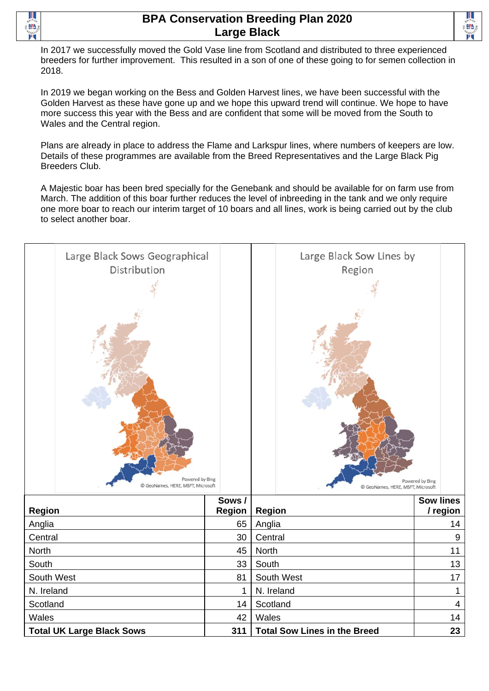

## **BPA Conservation Breeding Plan 2020 Large Black**



In 2017 we successfully moved the Gold Vase line from Scotland and distributed to three experienced breeders for further improvement. This resulted in a son of one of these going to for semen collection in 2018.

In 2019 we began working on the Bess and Golden Harvest lines, we have been successful with the Golden Harvest as these have gone up and we hope this upward trend will continue. We hope to have more success this year with the Bess and are confident that some will be moved from the South to Wales and the Central region.

Plans are already in place to address the Flame and Larkspur lines, where numbers of keepers are low. Details of these programmes are available from the Breed Representatives and the Large Black Pig Breeders Club.

A Majestic boar has been bred specially for the Genebank and should be available for on farm use from March. The addition of this boar further reduces the level of inbreeding in the tank and we only require one more boar to reach our interim target of 10 boars and all lines, work is being carried out by the club to select another boar.

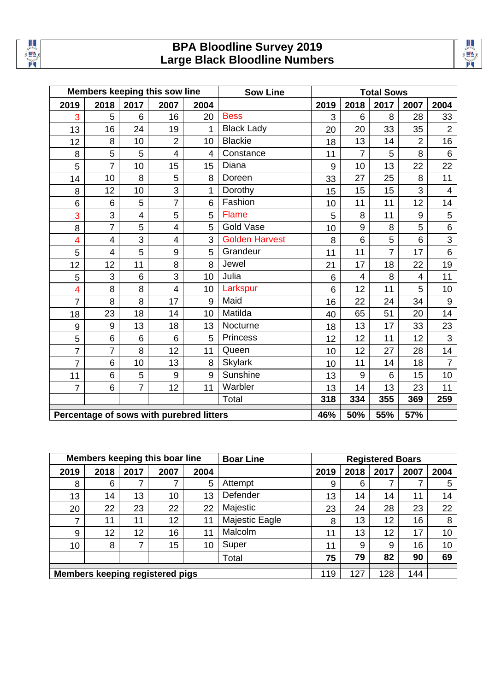

## **BPA Bloodline Survey 2019 Large Black Bloodline Numbers**

| ı |
|---|
|   |

|                                          | Members keeping this sow line |                |                         | <b>Sow Line</b> |                       | <b>Total Sows</b> |                |                 |                |                         |  |  |
|------------------------------------------|-------------------------------|----------------|-------------------------|-----------------|-----------------------|-------------------|----------------|-----------------|----------------|-------------------------|--|--|
| 2019                                     | 2018                          | 2017           | 2007                    | 2004            |                       | 2019              | 2018           | 2017            | 2007           | 2004                    |  |  |
| 3                                        | 5                             | 6              | 16                      | 20              | <b>Bess</b>           | 3                 | 6              | 8               | 28             | 33                      |  |  |
| 13                                       | 16                            | 24             | 19                      | 1               | <b>Black Lady</b>     | 20                | 20             | 33              | 35             | $\overline{2}$          |  |  |
| 12                                       | 8                             | 10             | $\overline{2}$          | 10              | <b>Blackie</b>        | 18                | 13             | 14              | $\overline{2}$ | 16                      |  |  |
| 8                                        | 5                             | 5              | $\overline{4}$          | 4               | Constance             | 11                | $\overline{7}$ | 5               | 8              | $\,6\,$                 |  |  |
| 5                                        | $\overline{7}$                | 10             | 15                      | 15              | Diana                 | 9                 | 10             | 13              | 22             | 22                      |  |  |
| 14                                       | 10                            | 8              | 5                       | 8               | Doreen                | 33                | 27             | 25              | 8              | 11                      |  |  |
| 8                                        | 12                            | 10             | 3                       | 1               | Dorothy               | 15                | 15             | 15              | 3              | $\overline{\mathbf{4}}$ |  |  |
| 6                                        | $6\phantom{1}$                | 5              | $\overline{7}$          | 6               | Fashion               | 10                | 11             | 11              | 12             | 14                      |  |  |
| 3                                        | 3                             | $\overline{4}$ | 5                       | 5               | <b>Flame</b>          | 5                 | 8              | 11              | 9              | 5                       |  |  |
| 8                                        | $\overline{7}$                | 5              | $\overline{\mathbf{4}}$ | 5               | <b>Gold Vase</b>      | 10                | 9              | 8               | 5              | $\,6\,$                 |  |  |
| 4                                        | $\overline{4}$                | 3              | $\overline{4}$          | 3               | <b>Golden Harvest</b> | 8                 | 6              | 5               | 6              | 3                       |  |  |
| 5                                        | $\overline{4}$                | 5              | 9                       | 5               | Grandeur              | 11                | 11             | $\overline{7}$  | 17             | $6\phantom{1}$          |  |  |
| 12                                       | 12                            | 11             | 8                       | 8               | Jewel                 | 21                | 17             | 18              | 22             | 19                      |  |  |
| 5                                        | 3                             | 6              | 3                       | 10              | Julia                 | 6                 | $\overline{4}$ | 8               | 4              | 11                      |  |  |
| $\overline{\mathbf{4}}$                  | 8                             | 8              | $\overline{4}$          | 10              | Larkspur              | 6                 | 12             | 11              | 5              | 10                      |  |  |
| $\overline{7}$                           | 8                             | 8              | 17                      | 9               | Maid                  | 16                | 22             | 24              | 34             | 9                       |  |  |
| 18                                       | 23                            | 18             | 14                      | 10              | Matilda               | 40                | 65             | 51              | 20             | 14                      |  |  |
| 9                                        | $9\,$                         | 13             | 18                      | 13              | Nocturne              | 18                | 13             | 17              | 33             | 23                      |  |  |
| 5                                        | $6\phantom{1}6$               | 6              | 6                       | 5               | <b>Princess</b>       | 12                | 12             | 11              | 12             | 3                       |  |  |
| $\overline{7}$                           | $\overline{7}$                | 8              | 12                      | 11              | Queen                 | 10                | 12             | 27              | 28             | 14                      |  |  |
| $\overline{7}$                           | 6                             | 10             | 13                      | 8               | <b>Skylark</b>        | 10                | 11             | 14              | 18             | $\overline{7}$          |  |  |
| 11                                       | $6\phantom{1}$                | 5              | 9                       | 9               | Sunshine              | 13                | 9              | $6\phantom{1}6$ | 15             | 10                      |  |  |
| $\overline{7}$                           | 6                             | $\overline{7}$ | 12                      | 11              | Warbler               | 13                | 14             | 13              | 23             | 11                      |  |  |
|                                          |                               |                |                         |                 | Total                 | 318               | 334            | 355             | 369            | 259                     |  |  |
| Percentage of sows with purebred litters |                               |                |                         |                 |                       | 46%               | 50%            | 55%             | 57%            |                         |  |  |

| Members keeping this boar line |                                        |      | <b>Boar Line</b> | <b>Registered Boars</b> |                |      |      |      |      |      |
|--------------------------------|----------------------------------------|------|------------------|-------------------------|----------------|------|------|------|------|------|
| 2019                           | 2018                                   | 2017 | 2007             | 2004                    |                | 2019 | 2018 | 2017 | 2007 | 2004 |
| 8                              | 6                                      |      | ⇁                | 5                       | Attempt        | 9    | 6    | ⇁    |      | 5    |
| 13                             | 14                                     | 13   | 10               | 13                      | Defender       | 13   | 14   | 14   | 11   | 14   |
| 20                             | 22                                     | 23   | 22               | 22                      | Majestic       | 23   | 24   | 28   | 23   | 22   |
| 7                              | 11                                     | 11   | 12               | 11                      | Majestic Eagle | 8    | 13   | 12   | 16   | 8    |
| 9                              | 12                                     | 12   | 16               | 11                      | Malcolm        | 11   | 13   | 12   | 17   | 10   |
| 10                             | 8                                      | 7    | 15               | 10                      | Super          | 11   | 9    | 9    | 16   | 10   |
|                                |                                        |      |                  |                         | Total          | 75   | 79   | 82   | 90   | 69   |
|                                | <b>Members keeping registered pigs</b> |      |                  |                         |                |      | 127  | 128  | 144  |      |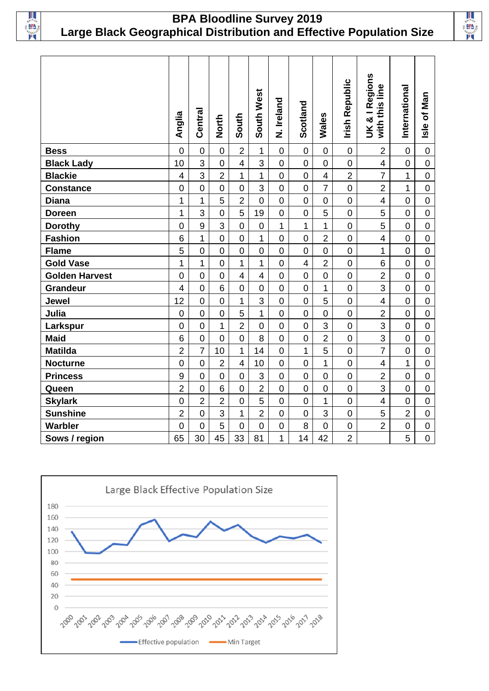

## **BPA Bloodline Survey 2019 Large Black Geographical Distribution and Effective Population Size**



|                       | Anglia                   | Central        | <b>North</b>    | South                   | South West     | N. Ireland     | Scotland            | Wales          | <b>Irish Republic</b> | UK & I Regions<br>line<br>with this | International    | Isle of Man    |
|-----------------------|--------------------------|----------------|-----------------|-------------------------|----------------|----------------|---------------------|----------------|-----------------------|-------------------------------------|------------------|----------------|
| <b>Bess</b>           | $\mathbf 0$              | $\overline{0}$ | $\overline{0}$  | $\overline{2}$          | $\mathbf 1$    | $\mathbf 0$    | $\mathbf 0$         | $\overline{0}$ | $\mathbf 0$           | $\overline{2}$                      | $\overline{0}$   | $\overline{0}$ |
| <b>Black Lady</b>     | 10                       | 3              | $\mathbf 0$     | $\overline{\mathbf{4}}$ | 3              | $\mathbf 0$    | $\mathsf{O}\xspace$ | $\mathbf 0$    | $\mathbf 0$           | $\overline{\mathbf{4}}$             | $\mathbf 0$      | $\mathbf 0$    |
| <b>Blackie</b>        | $\overline{\mathbf{4}}$  | 3              | $\overline{2}$  | 1                       | 1              | $\overline{0}$ | $\mathbf 0$         | $\overline{4}$ | $\overline{2}$        | $\overline{7}$                      | 1                | $\overline{0}$ |
| <b>Constance</b>      | $\mathbf 0$              | $\overline{0}$ | $\mathbf 0$     | $\mathbf 0$             | 3              | $\mathsf 0$    | $\mathbf 0$         | $\overline{7}$ | $\mathbf 0$           | $\overline{2}$                      | 1                | $\mathbf 0$    |
| <b>Diana</b>          | 1                        | $\overline{1}$ | 5               | $\overline{2}$          | $\mathbf 0$    | $\mathbf 0$    | $\overline{0}$      | $\mathbf 0$    | $\mathbf 0$           | $\overline{\mathbf{4}}$             | $\mathbf 0$      | $\overline{0}$ |
| <b>Doreen</b>         | $\overline{1}$           | 3              | $\overline{0}$  | 5                       | 19             | $\overline{0}$ | $\overline{0}$      | 5              | $\mathbf 0$           | 5                                   | $\overline{0}$   | $\overline{0}$ |
| <b>Dorothy</b>        | $\boldsymbol{0}$         | 9              | 3               | $\mathbf 0$             | $\mathbf 0$    | $\mathbf 1$    | 1                   | 1              | $\mathbf 0$           | 5                                   | $\overline{0}$   | $\overline{0}$ |
| <b>Fashion</b>        | $6\phantom{1}$           | $\overline{1}$ | $\overline{0}$  | $\overline{0}$          | $\mathbf 1$    | $\overline{0}$ | $\mathbf 0$         | $\overline{2}$ | $\mathbf 0$           | $\overline{\mathbf{4}}$             | $\overline{0}$   | $\overline{0}$ |
| <b>Flame</b>          | 5                        | $\overline{0}$ | $\overline{0}$  | $\overline{0}$          | $\overline{0}$ | $\mathbf 0$    | $\overline{0}$      | $\overline{0}$ | $\mathbf 0$           | 1                                   | $\mathbf 0$      | $\mathbf 0$    |
| <b>Gold Vase</b>      | 1                        | $\overline{1}$ | $\overline{0}$  | $\mathbf{1}$            | 1              | $\overline{0}$ | $\overline{4}$      | $\overline{2}$ | $\mathbf 0$           | 6                                   | $\overline{0}$   | $\overline{0}$ |
| <b>Golden Harvest</b> | $\mathbf 0$              | $\overline{0}$ | $\overline{0}$  | $\overline{4}$          | $\overline{4}$ | $\mathbf 0$    | $\overline{0}$      | $\overline{0}$ | $\mathbf 0$           | $\overline{2}$                      | $\overline{0}$   | $\overline{0}$ |
| Grandeur              | $\overline{\mathcal{A}}$ | $\mathbf 0$    | $6\phantom{1}$  | $\mathbf 0$             | $\mathbf 0$    | $\mathbf 0$    | $\mathbf 0$         | 1              | $\mathsf{O}\xspace$   | 3                                   | $\overline{0}$   | $\mathbf 0$    |
| Jewel                 | 12                       | $\overline{0}$ | $\overline{0}$  | 1                       | 3              | $\overline{0}$ | $\overline{0}$      | 5              | $\mathbf 0$           | $\overline{\mathbf{4}}$             | $\overline{0}$   | $\overline{0}$ |
| Julia                 | $\mathbf 0$              | $\mathbf 0$    | $\mathbf 0$     | 5                       | 1              | $\mathbf 0$    | $\mathbf 0$         | $\mathbf 0$    | $\mathsf{O}\xspace$   | $\overline{2}$                      | $\boldsymbol{0}$ | $\mathbf 0$    |
| Larkspur              | $\mathbf 0$              | $\overline{0}$ | 1               | $\overline{2}$          | $\mathbf 0$    | $\mathbf 0$    | $\overline{0}$      | 3              | $\mathsf{O}\xspace$   | 3                                   | $\mathbf 0$      | $\mathbf 0$    |
| <b>Maid</b>           | $6\phantom{1}6$          | $\overline{0}$ | $\overline{0}$  | $\overline{0}$          | 8              | $\mathbf 0$    | $\mathbf 0$         | $\overline{2}$ | $\mathbf 0$           | $\overline{3}$                      | $\overline{0}$   | $\overline{0}$ |
| <b>Matilda</b>        | $\overline{2}$           | $\overline{7}$ | 10              | $\mathbf{1}$            | 14             | $\mathsf 0$    | $\overline{1}$      | 5              | $\mathbf 0$           | $\overline{7}$                      | $\overline{0}$   | $\mathbf 0$    |
| <b>Nocturne</b>       | $\mathbf 0$              | $\overline{0}$ | $\overline{2}$  | $\overline{4}$          | 10             | $\overline{0}$ | $\mathbf 0$         | 1              | $\mathbf 0$           | $\overline{\mathbf{4}}$             | $\mathbf{1}$     | $\overline{0}$ |
| <b>Princess</b>       | 9                        | $\overline{0}$ | $\overline{0}$  | $\mathbf 0$             | 3              | $\mathbf 0$    | $\overline{0}$      | $\overline{0}$ | $\mathbf 0$           | $\overline{2}$                      | $\mathbf 0$      | $\overline{0}$ |
| Queen                 | $\overline{2}$           | $\overline{0}$ | $6\phantom{1}6$ | $\overline{0}$          | $\overline{2}$ | $\mathbf 0$    | $\overline{0}$      | $\overline{0}$ | $\mathbf 0$           | 3                                   | $\overline{0}$   | $\overline{0}$ |
| <b>Skylark</b>        | $\overline{0}$           | $\overline{2}$ | $\overline{2}$  | $\overline{0}$          | 5              | $\mathbf 0$    | $\overline{0}$      | 1              | $\mathbf 0$           | $\overline{\mathbf{4}}$             | $\mathbf 0$      | $\overline{0}$ |
| <b>Sunshine</b>       | $\overline{2}$           | $\mathbf 0$    | 3               | 1                       | $\overline{2}$ | $\mathbf 0$    | $\mathsf 0$         | 3              | $\mathsf 0$           | 5                                   | $\overline{2}$   | $\mathbf 0$    |
| <b>Warbler</b>        | $\overline{0}$           | $\overline{0}$ | 5               | $\overline{0}$          | $\overline{0}$ | $\overline{0}$ | 8                   | $\overline{0}$ | $\mathsf 0$           | $\overline{2}$                      | $\overline{0}$   | $\overline{0}$ |
| Sows / region         | 65                       | 30             | 45              | 33                      | 81             | 1              | 14                  | 42             | $\overline{2}$        |                                     | 5                | $\overline{0}$ |